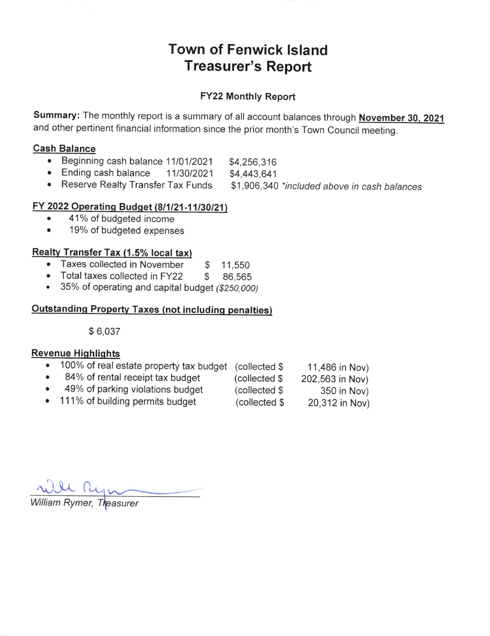# Town of Fenwick lsland Treasurer's Report

#### FY22 Monthly Report

Summary: The monthly report is a summary of all account balances through November 30, 2021 and other pertinent financial information since the prior month's Town council meeting.

#### Cash Balance

- Beginning cash balance 11/01/2021 \$4,256,316
- Ending cash balance 11/30/2021 \$4,443,641
- Reserve Realty Transfer Tax Funds \$1 ,906,340 \*included above in cash balances

## FY 2022 Operating Budget (8/1/21-11/30/21)

- 41% of budgeted income  $\bullet$
- 19% of budgeted expenses  $\bullet$

# <u>Realty Transfer Tax (1.5% local tax)</u>

- Taxes collected in November \$ 11,550
- Taxes collected in November \$ 11,550<br>Total taxes collected in FY22 \$ 86,565
- 35% of operating and capital budget (\$250,000)

#### Outstandinq Property Taxes (not includinq penalties)

\$ 6,037

#### Revenue Highlights

|           | • 100% of real estate property tax budget (collected \$ |               | 11,486 in Nov)  |
|-----------|---------------------------------------------------------|---------------|-----------------|
| $\bullet$ | 84% of rental receipt tax budget                        | (collected \$ | 202,563 in Nov) |
| $\bullet$ | 49% of parking violations budget                        | (collected \$ | 350 in Nov)     |
|           | • 111% of building permits budget                       | (collected \$ | 20,312 in Nov)  |

William Rymer, Treasurer